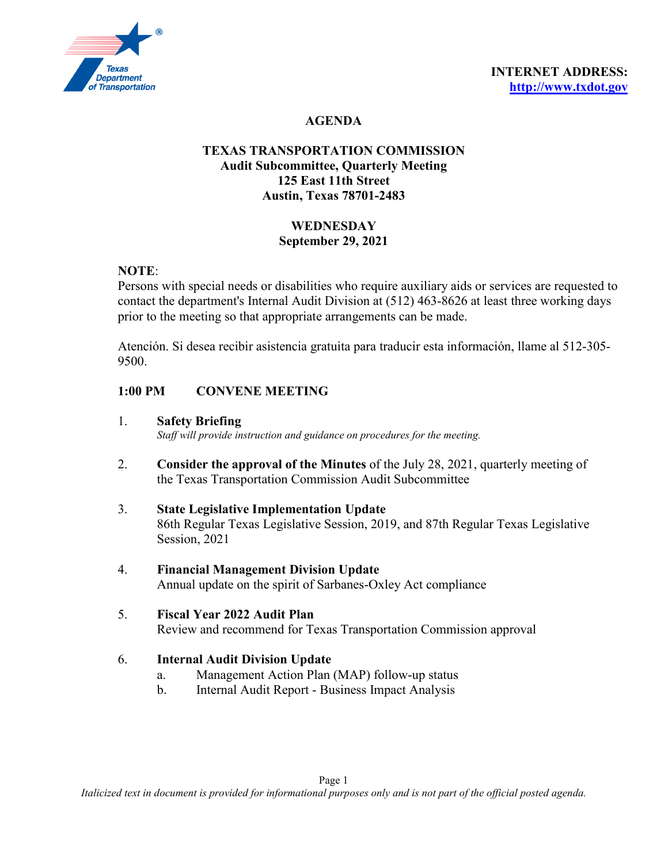

# **AGENDA**

## **TEXAS TRANSPORTATION COMMISSION Audit Subcommittee, Quarterly Meeting 125 East 11th Street Austin, Texas 78701-2483**

# **WEDNESDAY September 29, 2021**

## **NOTE**:

Persons with special needs or disabilities who require auxiliary aids or services are requested to contact the department's Internal Audit Division at (512) 463-8626 at least three working days prior to the meeting so that appropriate arrangements can be made.

Atención. Si desea recibir asistencia gratuita para traducir esta información, llame al 512-305- 9500.

## **1:00 PM CONVENE MEETING**

#### 1. **Safety Briefing**

*Staff will provide instruction and guidance on procedures for the meeting.* 

- 2. **Consider the approval of the Minutes** of the July 28, 2021, quarterly meeting of the Texas Transportation Commission Audit Subcommittee
- 3. **State Legislative Implementation Update** 86th Regular Texas Legislative Session, 2019, and 87th Regular Texas Legislative Session, 2021
- 4. **Financial Management Division Update** Annual update on the spirit of Sarbanes-Oxley Act compliance
- 5. **Fiscal Year 2022 Audit Plan** Review and recommend for Texas Transportation Commission approval

#### 6. **Internal Audit Division Update**

- a. Management Action Plan (MAP) follow-up status
- b. Internal Audit Report Business Impact Analysis